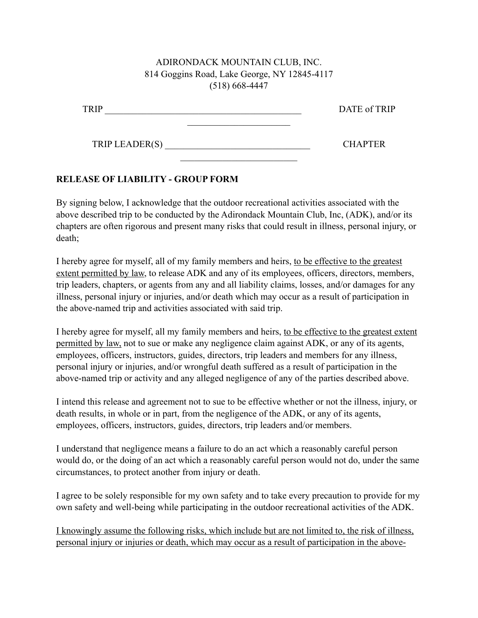## ADIRONDACK MOUNTAIN CLUB, INC. 814 Goggins Road, Lake George, NY 12845-4117 (518) 668-4447

| <b>TRIP</b>    | DATE of TRIP   |
|----------------|----------------|
|                |                |
| TRIP LEADER(S) | <b>CHAPTER</b> |

 $\mathcal{L}_\text{max}$ 

## **RELEASE OF LIABILITY - GROUP FORM**

By signing below, I acknowledge that the outdoor recreational activities associated with the above described trip to be conducted by the Adirondack Mountain Club, Inc, (ADK), and/or its chapters are often rigorous and present many risks that could result in illness, personal injury, or death;

I hereby agree for myself, all of my family members and heirs, to be effective to the greatest extent permitted by law, to release ADK and any of its employees, officers, directors, members, trip leaders, chapters, or agents from any and all liability claims, losses, and/or damages for any illness, personal injury or injuries, and/or death which may occur as a result of participation in the above-named trip and activities associated with said trip.

I hereby agree for myself, all my family members and heirs, to be effective to the greatest extent permitted by law, not to sue or make any negligence claim against ADK, or any of its agents, employees, officers, instructors, guides, directors, trip leaders and members for any illness, personal injury or injuries, and/or wrongful death suffered as a result of participation in the above-named trip or activity and any alleged negligence of any of the parties described above.

I intend this release and agreement not to sue to be effective whether or not the illness, injury, or death results, in whole or in part, from the negligence of the ADK, or any of its agents, employees, officers, instructors, guides, directors, trip leaders and/or members.

I understand that negligence means a failure to do an act which a reasonably careful person would do, or the doing of an act which a reasonably careful person would not do, under the same circumstances, to protect another from injury or death.

I agree to be solely responsible for my own safety and to take every precaution to provide for my own safety and well-being while participating in the outdoor recreational activities of the ADK.

I knowingly assume the following risks, which include but are not limited to, the risk of illness, personal injury or injuries or death, which may occur as a result of participation in the above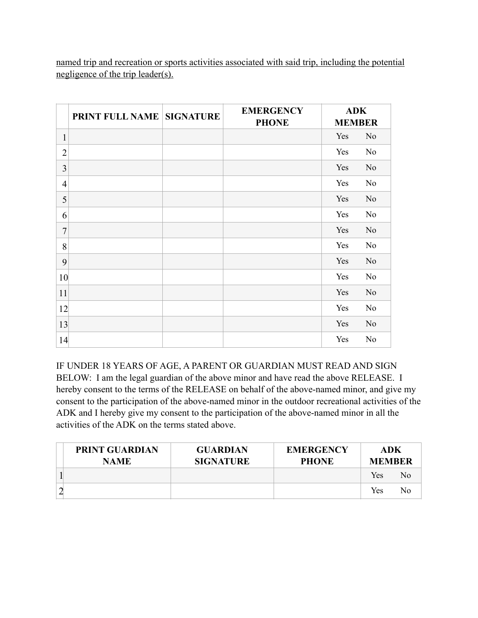named trip and recreation or sports activities associated with said trip, including the potential negligence of the trip leader(s).

|                          | <b>PRINT FULL NAME SIGNATURE</b> | <b>EMERGENCY</b><br><b>PHONE</b> | <b>ADK</b><br><b>MEMBER</b> |                |
|--------------------------|----------------------------------|----------------------------------|-----------------------------|----------------|
| $\mathbf{1}$             |                                  |                                  | Yes                         | N <sub>0</sub> |
| $\overline{2}$           |                                  |                                  | Yes                         | No             |
| $\mathfrak{Z}$           |                                  |                                  | Yes                         | N <sub>0</sub> |
| $\overline{\mathcal{A}}$ |                                  |                                  | Yes                         | N <sub>0</sub> |
| 5                        |                                  |                                  | Yes                         | N <sub>0</sub> |
| 6                        |                                  |                                  | Yes                         | N <sub>0</sub> |
| $\overline{7}$           |                                  |                                  | Yes                         | N <sub>0</sub> |
| 8                        |                                  |                                  | Yes                         | N <sub>0</sub> |
| 9                        |                                  |                                  | Yes                         | N <sub>0</sub> |
| 10                       |                                  |                                  | Yes                         | N <sub>0</sub> |
| 11                       |                                  |                                  | Yes                         | N <sub>0</sub> |
| 12                       |                                  |                                  | Yes                         | N <sub>0</sub> |
| 13                       |                                  |                                  | Yes                         | No             |
| 14                       |                                  |                                  | Yes                         | N <sub>o</sub> |

IF UNDER 18 YEARS OF AGE, A PARENT OR GUARDIAN MUST READ AND SIGN BELOW: I am the legal guardian of the above minor and have read the above RELEASE. I hereby consent to the terms of the RELEASE on behalf of the above-named minor, and give my consent to the participation of the above-named minor in the outdoor recreational activities of the ADK and I hereby give my consent to the participation of the above-named minor in all the activities of the ADK on the terms stated above.

| <b>PRINT GUARDIAN</b><br><b>NAME</b> | <b>GUARDIAN</b><br><b>SIGNATURE</b> | <b>EMERGENCY</b><br><b>PHONE</b> | ADK<br><b>MEMBER</b> |    |
|--------------------------------------|-------------------------------------|----------------------------------|----------------------|----|
|                                      |                                     |                                  | Yes                  | Nο |
|                                      |                                     |                                  | Yes                  | N٥ |